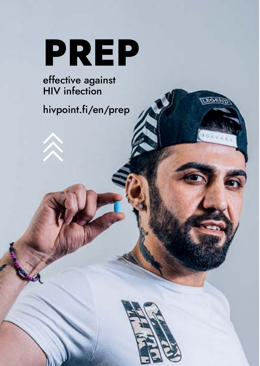

#### effective against HIV infection

hivpoint.fi/en/prep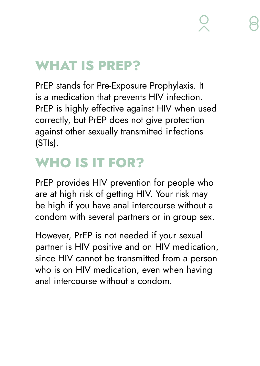PrEP stands for Pre-Exposure Prophylaxis. It is a medication that prevents HIV infection. PrEP is highly effective against HIV when used correctly, but PrEP does not give protection against other sexually transmitted infections (STIs).

## **WHO IS IT FOR?**

PrEP provides HIV prevention for people who are at high risk of getting HIV. Your risk may be high if you have anal intercourse without a condom with several partners or in group sex.

However, PrEP is not needed if your sexual partner is HIV positive and on HIV medication, since HIV cannot be transmitted from a person who is on HIV medication, even when having anal intercourse without a condom.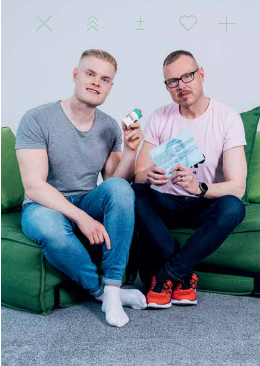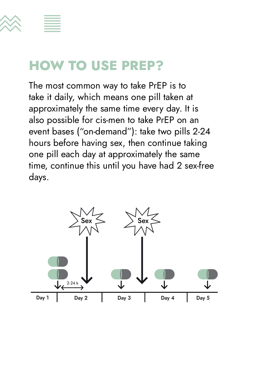## **HOW TO USE PREP?**

The most common way to take PrEP is to take it daily, which means one pill taken at approximately the same time every day. It is also possible for cis-men to take PrEP on an event bases ("on-demand"): take two pills 2-24 hours before having sex, then continue taking one pill each day at approximately the same time, continue this until you have had 2 sex-free days.

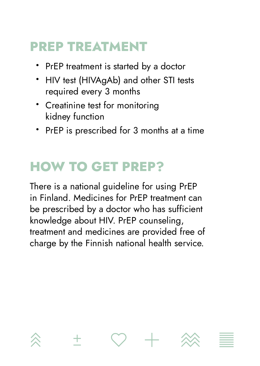#### **PREP TREATMENT**

- ∙ PrEP treatment is started by a doctor
- ∙ HIV test (HIVAgAb) and other STI tests required every 3 months
- ∙ Creatinine test for monitoring kidney function
- ∙ PrEP is prescribed for 3 months at a time

#### **HOW TO GET PREP?**

There is a national guideline for using PrEP in Finland. Medicines for PrEP treatment can be prescribed by a doctor who has sufficient knowledge about HIV. PrEP counseling, treatment and medicines are provided free of charge by the Finnish national health service.